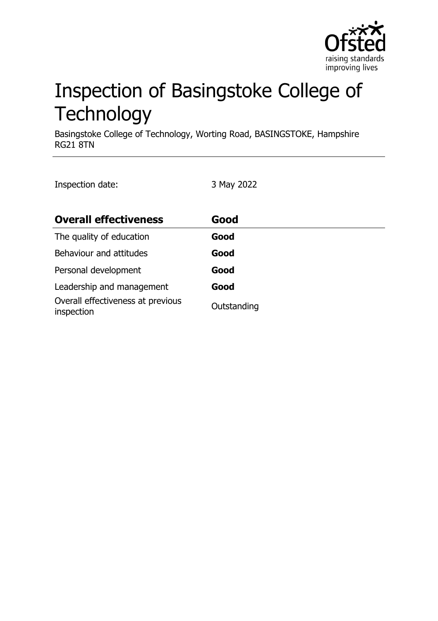

# Inspection of Basingstoke College of **Technology**

Basingstoke College of Technology, Worting Road, BASINGSTOKE, Hampshire RG21 8TN

Inspection date: 3 May 2022

| <b>Overall effectiveness</b>                    | Good        |
|-------------------------------------------------|-------------|
| The quality of education                        | Good        |
| Behaviour and attitudes                         | Good        |
| Personal development                            | Good        |
| Leadership and management                       | Good        |
| Overall effectiveness at previous<br>inspection | Outstanding |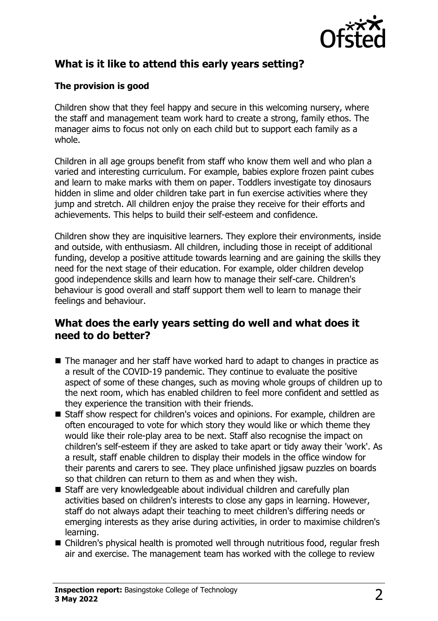

# **What is it like to attend this early years setting?**

#### **The provision is good**

Children show that they feel happy and secure in this welcoming nursery, where the staff and management team work hard to create a strong, family ethos. The manager aims to focus not only on each child but to support each family as a whole.

Children in all age groups benefit from staff who know them well and who plan a varied and interesting curriculum. For example, babies explore frozen paint cubes and learn to make marks with them on paper. Toddlers investigate toy dinosaurs hidden in slime and older children take part in fun exercise activities where they jump and stretch. All children enjoy the praise they receive for their efforts and achievements. This helps to build their self-esteem and confidence.

Children show they are inquisitive learners. They explore their environments, inside and outside, with enthusiasm. All children, including those in receipt of additional funding, develop a positive attitude towards learning and are gaining the skills they need for the next stage of their education. For example, older children develop good independence skills and learn how to manage their self-care. Children's behaviour is good overall and staff support them well to learn to manage their feelings and behaviour.

### **What does the early years setting do well and what does it need to do better?**

- $\blacksquare$  The manager and her staff have worked hard to adapt to changes in practice as a result of the COVID-19 pandemic. They continue to evaluate the positive aspect of some of these changes, such as moving whole groups of children up to the next room, which has enabled children to feel more confident and settled as they experience the transition with their friends.
- Staff show respect for children's voices and opinions. For example, children are often encouraged to vote for which story they would like or which theme they would like their role-play area to be next. Staff also recognise the impact on children's self-esteem if they are asked to take apart or tidy away their 'work'. As a result, staff enable children to display their models in the office window for their parents and carers to see. They place unfinished jigsaw puzzles on boards so that children can return to them as and when they wish.
- Staff are very knowledgeable about individual children and carefully plan activities based on children's interests to close any gaps in learning. However, staff do not always adapt their teaching to meet children's differing needs or emerging interests as they arise during activities, in order to maximise children's learning.
- Children's physical health is promoted well through nutritious food, regular fresh air and exercise. The management team has worked with the college to review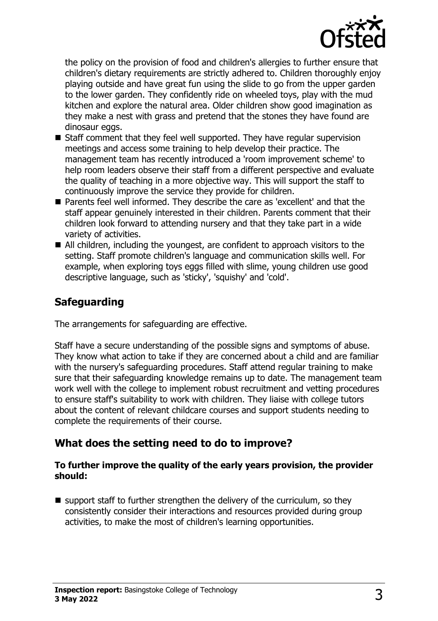

the policy on the provision of food and children's allergies to further ensure that children's dietary requirements are strictly adhered to. Children thoroughly enjoy playing outside and have great fun using the slide to go from the upper garden to the lower garden. They confidently ride on wheeled toys, play with the mud kitchen and explore the natural area. Older children show good imagination as they make a nest with grass and pretend that the stones they have found are dinosaur eggs.

- $\blacksquare$  Staff comment that they feel well supported. They have regular supervision meetings and access some training to help develop their practice. The management team has recently introduced a 'room improvement scheme' to help room leaders observe their staff from a different perspective and evaluate the quality of teaching in a more objective way. This will support the staff to continuously improve the service they provide for children.
- Parents feel well informed. They describe the care as 'excellent' and that the staff appear genuinely interested in their children. Parents comment that their children look forward to attending nursery and that they take part in a wide variety of activities.
- $\blacksquare$  All children, including the youngest, are confident to approach visitors to the setting. Staff promote children's language and communication skills well. For example, when exploring toys eggs filled with slime, young children use good descriptive language, such as 'sticky', 'squishy' and 'cold'.

# **Safeguarding**

The arrangements for safeguarding are effective.

Staff have a secure understanding of the possible signs and symptoms of abuse. They know what action to take if they are concerned about a child and are familiar with the nursery's safeguarding procedures. Staff attend regular training to make sure that their safeguarding knowledge remains up to date. The management team work well with the college to implement robust recruitment and vetting procedures to ensure staff's suitability to work with children. They liaise with college tutors about the content of relevant childcare courses and support students needing to complete the requirements of their course.

# **What does the setting need to do to improve?**

#### **To further improve the quality of the early years provision, the provider should:**

 $\blacksquare$  support staff to further strengthen the delivery of the curriculum, so they consistently consider their interactions and resources provided during group activities, to make the most of children's learning opportunities.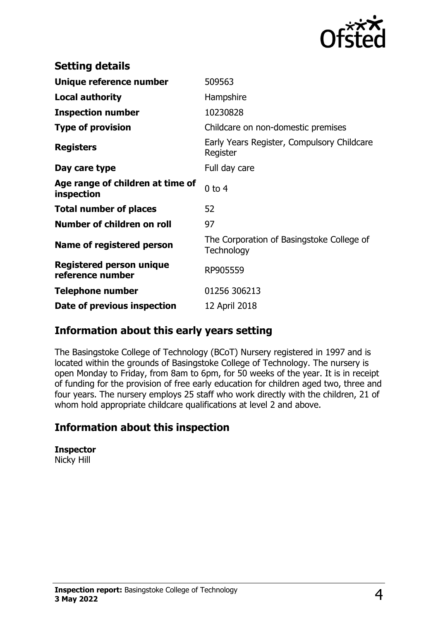

| <b>Setting details</b>                              |                                                         |
|-----------------------------------------------------|---------------------------------------------------------|
| Unique reference number                             | 509563                                                  |
| <b>Local authority</b>                              | Hampshire                                               |
| <b>Inspection number</b>                            | 10230828                                                |
| <b>Type of provision</b>                            | Childcare on non-domestic premises                      |
| <b>Registers</b>                                    | Early Years Register, Compulsory Childcare<br>Register  |
| Day care type                                       | Full day care                                           |
| Age range of children at time of<br>inspection      | $0$ to 4                                                |
| <b>Total number of places</b>                       | 52                                                      |
| Number of children on roll                          | 97                                                      |
| Name of registered person                           | The Corporation of Basingstoke College of<br>Technology |
| <b>Registered person unique</b><br>reference number | RP905559                                                |
| <b>Telephone number</b>                             | 01256 306213                                            |
| Date of previous inspection                         | 12 April 2018                                           |

## **Information about this early years setting**

The Basingstoke College of Technology (BCoT) Nursery registered in 1997 and is located within the grounds of Basingstoke College of Technology. The nursery is open Monday to Friday, from 8am to 6pm, for 50 weeks of the year. It is in receipt of funding for the provision of free early education for children aged two, three and four years. The nursery employs 25 staff who work directly with the children, 21 of whom hold appropriate childcare qualifications at level 2 and above.

## **Information about this inspection**

**Inspector**

Nicky Hill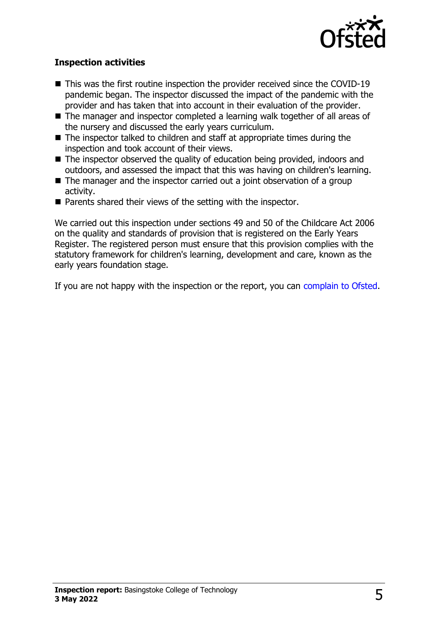

#### **Inspection activities**

- $\blacksquare$  This was the first routine inspection the provider received since the COVID-19 pandemic began. The inspector discussed the impact of the pandemic with the provider and has taken that into account in their evaluation of the provider.
- The manager and inspector completed a learning walk together of all areas of the nursery and discussed the early years curriculum.
- $\blacksquare$  The inspector talked to children and staff at appropriate times during the inspection and took account of their views.
- $\blacksquare$  The inspector observed the quality of education being provided, indoors and outdoors, and assessed the impact that this was having on children's learning.
- $\blacksquare$  The manager and the inspector carried out a joint observation of a group activity.
- $\blacksquare$  Parents shared their views of the setting with the inspector.

We carried out this inspection under sections 49 and 50 of the Childcare Act 2006 on the quality and standards of provision that is registered on the Early Years Register. The registered person must ensure that this provision complies with the statutory framework for children's learning, development and care, known as the early years foundation stage.

If you are not happy with the inspection or the report, you can [complain to Ofsted](http://www.gov.uk/complain-ofsted-report).